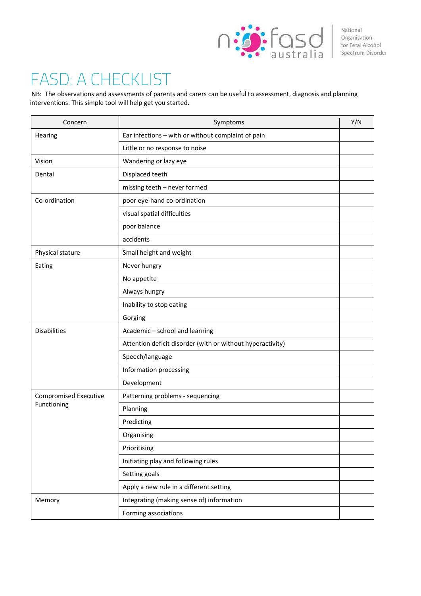

National<br>Organisation<br>Transference Spectrum Disorder National Spectrum Disorder

## FASD: A CHECKLIST

NB: The observations and assessments of parents and carers can be useful to assessment, diagnosis and planning interventions. This simple tool will help get you started.

| Concern                      | Symptoms                                                   | Y/N |  |
|------------------------------|------------------------------------------------------------|-----|--|
| Hearing                      | Ear infections - with or without complaint of pain         |     |  |
|                              | Little or no response to noise                             |     |  |
| Vision                       | Wandering or lazy eye                                      |     |  |
| Dental                       | Displaced teeth                                            |     |  |
|                              | missing teeth - never formed                               |     |  |
| Co-ordination                | poor eye-hand co-ordination                                |     |  |
|                              | visual spatial difficulties                                |     |  |
|                              | poor balance                                               |     |  |
|                              | accidents                                                  |     |  |
| Physical stature             | Small height and weight                                    |     |  |
| Eating                       | Never hungry                                               |     |  |
|                              | No appetite                                                |     |  |
|                              | Always hungry                                              |     |  |
|                              | Inability to stop eating                                   |     |  |
|                              | Gorging                                                    |     |  |
| <b>Disabilities</b>          | Academic - school and learning                             |     |  |
|                              | Attention deficit disorder (with or without hyperactivity) |     |  |
|                              | Speech/language                                            |     |  |
|                              | Information processing                                     |     |  |
|                              | Development                                                |     |  |
| <b>Compromised Executive</b> | Patterning problems - sequencing                           |     |  |
| Functioning                  | Planning                                                   |     |  |
|                              | Predicting                                                 |     |  |
|                              | Organising                                                 |     |  |
|                              | Prioritising                                               |     |  |
|                              | Initiating play and following rules                        |     |  |
|                              | Setting goals                                              |     |  |
|                              | Apply a new rule in a different setting                    |     |  |
| Memory                       | Integrating (making sense of) information                  |     |  |
|                              | Forming associations                                       |     |  |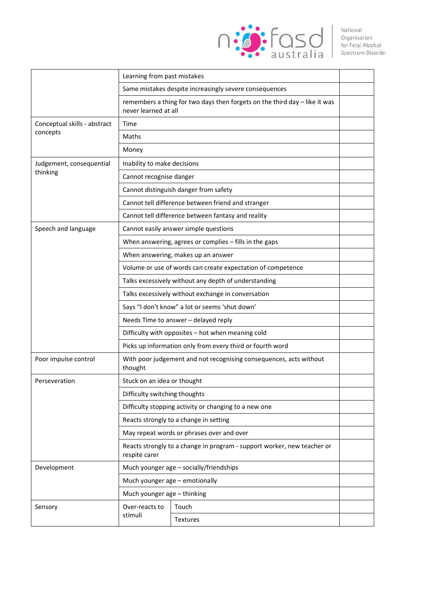

|                                          | Learning from past mistakes                                                                        |          |  |  |  |
|------------------------------------------|----------------------------------------------------------------------------------------------------|----------|--|--|--|
|                                          | Same mistakes despite increasingly severe consequences                                             |          |  |  |  |
|                                          | remembers a thing for two days then forgets on the third day - like it was<br>never learned at all |          |  |  |  |
| Conceptual skills - abstract<br>concepts | Time                                                                                               |          |  |  |  |
|                                          | Maths                                                                                              |          |  |  |  |
|                                          | Money                                                                                              |          |  |  |  |
| Judgement, consequential<br>thinking     | Inability to make decisions                                                                        |          |  |  |  |
|                                          | Cannot recognise danger                                                                            |          |  |  |  |
|                                          | Cannot distinguish danger from safety                                                              |          |  |  |  |
|                                          | Cannot tell difference between friend and stranger                                                 |          |  |  |  |
|                                          | Cannot tell difference between fantasy and reality                                                 |          |  |  |  |
| Speech and language                      | Cannot easily answer simple questions                                                              |          |  |  |  |
|                                          | When answering, agrees or complies - fills in the gaps                                             |          |  |  |  |
|                                          | When answering, makes up an answer                                                                 |          |  |  |  |
|                                          | Volume or use of words can create expectation of competence                                        |          |  |  |  |
|                                          | Talks excessively without any depth of understanding                                               |          |  |  |  |
|                                          | Talks excessively without exchange in conversation                                                 |          |  |  |  |
|                                          | Says "I don't know" a lot or seems 'shut down'                                                     |          |  |  |  |
|                                          | Needs Time to answer - delayed reply                                                               |          |  |  |  |
|                                          | Difficulty with opposites - hot when meaning cold                                                  |          |  |  |  |
|                                          | Picks up information only from every third or fourth word                                          |          |  |  |  |
| Poor impulse control                     | With poor judgement and not recognising consequences, acts without<br>thought                      |          |  |  |  |
| Perseveration                            | Stuck on an idea or thought                                                                        |          |  |  |  |
|                                          | Difficulty switching thoughts                                                                      |          |  |  |  |
|                                          | Difficulty stopping activity or changing to a new one                                              |          |  |  |  |
|                                          | Reacts strongly to a change in setting                                                             |          |  |  |  |
|                                          | May repeat words or phrases over and over                                                          |          |  |  |  |
|                                          | Reacts strongly to a change in program - support worker, new teacher or<br>respite carer           |          |  |  |  |
| Development                              | Much younger age - socially/friendships                                                            |          |  |  |  |
|                                          | Much younger age - emotionally                                                                     |          |  |  |  |
|                                          | Much younger age - thinking                                                                        |          |  |  |  |
| Sensory                                  | Over-reacts to<br>stimuli                                                                          | Touch    |  |  |  |
|                                          |                                                                                                    | Textures |  |  |  |